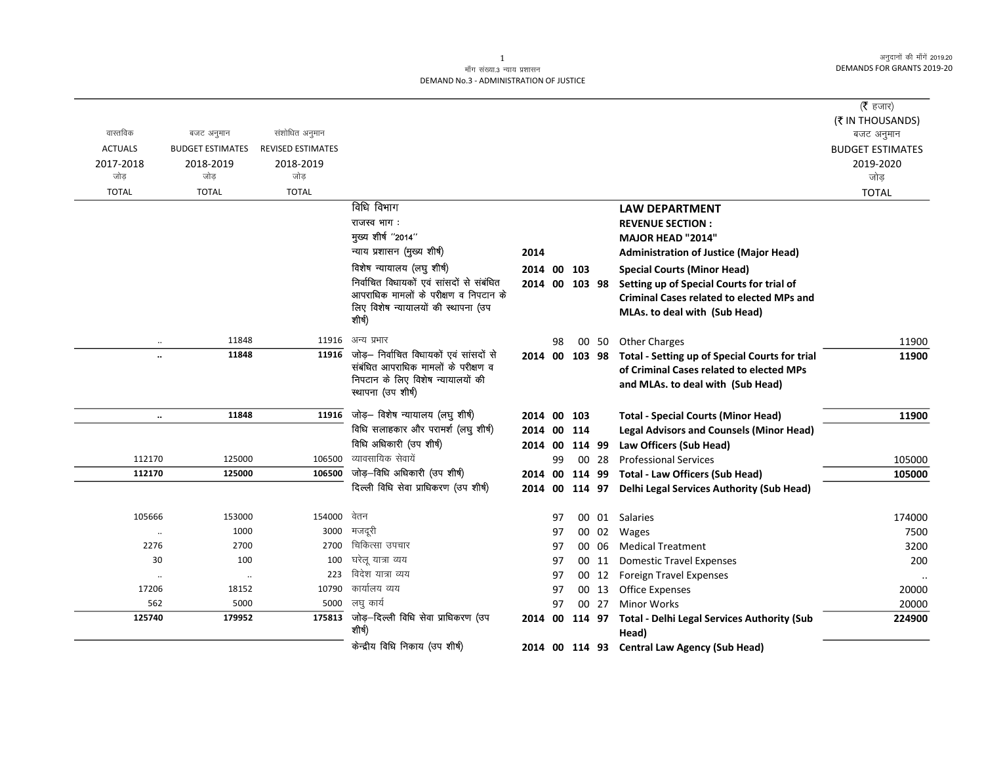## माँग संख्या.3 न्याय प्रशासन DEMAND No.3 - ADMINISTRATION OF JUSTICE

|                      |                         |                          |                                                                          |                |    |                |       |                                                            | ( <b>रै</b> हजार)       |
|----------------------|-------------------------|--------------------------|--------------------------------------------------------------------------|----------------|----|----------------|-------|------------------------------------------------------------|-------------------------|
|                      |                         |                          |                                                                          |                |    |                |       |                                                            | (₹ IN THOUSANDS)        |
| वास्तविक             | बजट अनुमान              | संशोधित अनुमान           |                                                                          |                |    |                |       |                                                            | बजट अनुमान              |
| <b>ACTUALS</b>       | <b>BUDGET ESTIMATES</b> | <b>REVISED ESTIMATES</b> |                                                                          |                |    |                |       |                                                            | <b>BUDGET ESTIMATES</b> |
| 2017-2018            | 2018-2019               | 2018-2019                |                                                                          |                |    |                |       |                                                            | 2019-2020               |
| जोड                  | जोड                     | जोड                      |                                                                          |                |    |                |       |                                                            | जोड                     |
| <b>TOTAL</b>         | <b>TOTAL</b>            | <b>TOTAL</b>             |                                                                          |                |    |                |       |                                                            | <b>TOTAL</b>            |
|                      |                         |                          | विधि विभाग                                                               |                |    |                |       | <b>LAW DEPARTMENT</b>                                      |                         |
|                      |                         |                          | राजस्व भाग:                                                              |                |    |                |       | <b>REVENUE SECTION:</b>                                    |                         |
|                      |                         |                          | मुख्य शीर्ष "2014"                                                       |                |    |                |       | <b>MAJOR HEAD "2014"</b>                                   |                         |
|                      |                         |                          | न्याय प्रशासन (मुख्य शीर्ष)                                              | 2014           |    |                |       | <b>Administration of Justice (Major Head)</b>              |                         |
|                      |                         |                          | विशेष न्यायालय (लघु शीर्ष)                                               | 2014 00 103    |    |                |       | <b>Special Courts (Minor Head)</b>                         |                         |
|                      |                         |                          | निर्वाचित विधायकों एवं सांसदों से संबंधित                                | 2014 00 103 98 |    |                |       | Setting up of Special Courts for trial of                  |                         |
|                      |                         |                          | आपराधिक मामलों के परीक्षण व निपटान के                                    |                |    |                |       | <b>Criminal Cases related to elected MPs and</b>           |                         |
|                      |                         |                          | लिए विशेष न्यायालयों की स्थापना (उप<br>शीर्ष)                            |                |    |                |       | MLAs. to deal with (Sub Head)                              |                         |
|                      |                         |                          |                                                                          |                |    |                |       |                                                            |                         |
| $\ddot{\phantom{a}}$ | 11848                   | 11916                    | अन्य प्रभार                                                              |                | 98 |                | 00 50 | <b>Other Charges</b>                                       | 11900                   |
| $\ddot{\phantom{a}}$ | 11848                   | 11916                    | जोड़– निर्वाचित विधायकों एवं सांसदों से                                  | 2014 00 103 98 |    |                |       | Total - Setting up of Special Courts for trial             | 11900                   |
|                      |                         |                          | संबंधित आपराधिक मामलों के परीक्षण व<br>निपटान के लिए विशेष न्यायालयों की |                |    |                |       | of Criminal Cases related to elected MPs                   |                         |
|                      |                         |                          | स्थापना (उप शीर्ष)                                                       |                |    |                |       | and MLAs. to deal with (Sub Head)                          |                         |
|                      |                         |                          |                                                                          |                |    |                |       |                                                            |                         |
| $\ddotsc$            | 11848                   | 11916                    | जोड़- विशेष न्यायालय (लघु शीर्ष)                                         | 2014 00 103    |    |                |       | <b>Total - Special Courts (Minor Head)</b>                 | 11900                   |
|                      |                         |                          | विधि सलाहकार और परामर्श (लघु शीर्ष)                                      | 2014 00 114    |    |                |       | <b>Legal Advisors and Counsels (Minor Head)</b>            |                         |
|                      |                         |                          | विधि अधिकारी (उप शीर्ष)                                                  |                |    | 2014 00 114 99 |       | Law Officers (Sub Head)                                    |                         |
| 112170               | 125000                  | 106500                   | व्यावसायिक सेवायें                                                       |                | 99 |                | 00 28 | <b>Professional Services</b>                               | 105000                  |
| 112170               | 125000                  | 106500                   | जोड़-विधि अधिकारी (उप शीर्ष)                                             |                |    |                |       | 2014 00 114 99 Total - Law Officers (Sub Head)             | 105000                  |
|                      |                         |                          | दिल्ली विधि सेवा प्राधिकरण (उप शीर्ष)                                    |                |    |                |       | 2014 00 114 97 Delhi Legal Services Authority (Sub Head)   |                         |
|                      |                         |                          |                                                                          |                |    |                |       |                                                            |                         |
| 105666               | 153000                  | 154000                   | वेतन                                                                     |                | 97 |                |       | 00 01 Salaries                                             | 174000                  |
| $\cdot\cdot$         | 1000                    | 3000                     | मजदूरी<br>चिकित्सा उपचार                                                 |                | 97 |                |       | 00 02 Wages                                                | 7500                    |
| 2276                 | 2700                    | 2700                     |                                                                          |                | 97 |                | 00 06 | <b>Medical Treatment</b>                                   | 3200                    |
| 30                   | 100                     | 100                      | घरेलू यात्रा व्यय<br>विदेश यात्रा व्यय                                   |                | 97 |                | 00 11 | <b>Domestic Travel Expenses</b>                            | 200                     |
| $\ddot{\phantom{0}}$ | $\ddots$                | 223                      | कार्यालय व्यय                                                            |                | 97 |                |       | 00 12 Foreign Travel Expenses                              |                         |
| 17206                | 18152                   | 10790                    | लघ कार्य                                                                 |                | 97 |                |       | 00 13 Office Expenses                                      | 20000                   |
| 562                  | 5000                    | 5000                     | $175813$ जोड़-दिल्ली विधि सेवा प्राधिकरण (उप                             |                | 97 |                | 00 27 | <b>Minor Works</b>                                         | 20000                   |
| 125740               | 179952                  |                          | शीर्ष)                                                                   |                |    |                |       | 2014 00 114 97 Total - Delhi Legal Services Authority (Sub | 224900                  |
|                      |                         |                          | केन्द्रीय विधि निकाय (उप शीर्ष)                                          |                |    |                |       | Head)                                                      |                         |
|                      |                         |                          |                                                                          |                |    |                |       | 2014 00 114 93 Central Law Agency (Sub Head)               |                         |

 $\mathbf{1}$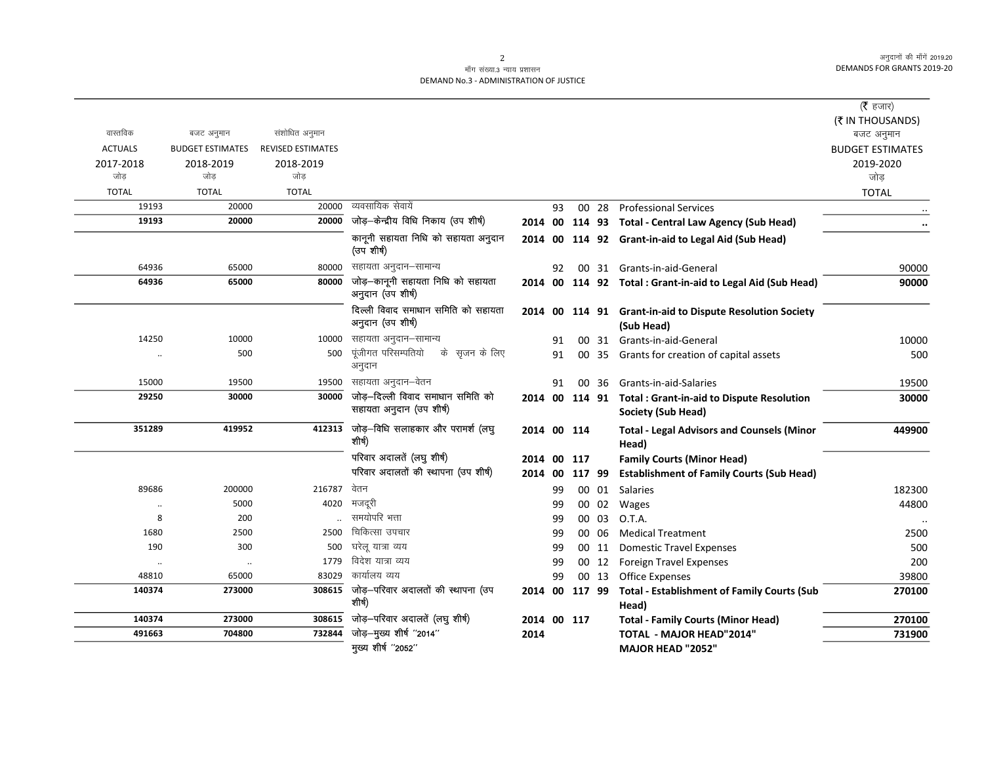## माँग संख्या.3 न्याय प्रशासन DEMAND No.3 - ADMINISTRATION OF JUSTICE

|                      |                         |                          |                                                               |             |    |       |                                                                                 | ( $\bar{\tau}$ हजार)<br>(₹ IN THOUSANDS) |
|----------------------|-------------------------|--------------------------|---------------------------------------------------------------|-------------|----|-------|---------------------------------------------------------------------------------|------------------------------------------|
| वास्तविक             | बजट अनुमान              | संशोधित अनुमान           |                                                               |             |    |       |                                                                                 | बजट अनुमान                               |
| <b>ACTUALS</b>       | <b>BUDGET ESTIMATES</b> | <b>REVISED ESTIMATES</b> |                                                               |             |    |       |                                                                                 | <b>BUDGET ESTIMATES</b>                  |
| 2017-2018            | 2018-2019               | 2018-2019                |                                                               |             |    |       |                                                                                 | 2019-2020                                |
| जोड                  | जोड                     | जोड़                     |                                                               |             |    |       |                                                                                 | जोड                                      |
| <b>TOTAL</b>         | <b>TOTAL</b>            | <b>TOTAL</b>             |                                                               |             |    |       |                                                                                 | <b>TOTAL</b>                             |
| 19193                | 20000                   | 20000                    | व्यवसायिक सेवायें                                             |             | 93 | 00 28 | <b>Professional Services</b>                                                    |                                          |
| 19193                | 20000                   | 20000                    | जोड़-केन्द्रीय विधि निकाय (उप शीर्ष)                          |             |    |       | 2014 00 114 93 Total - Central Law Agency (Sub Head)                            |                                          |
|                      |                         |                          | कानूनी सहायता निधि को सहायता अनुदान<br>(उप शीर्ष)             |             |    |       | 2014 00 114 92 Grant-in-aid to Legal Aid (Sub Head)                             |                                          |
| 64936                | 65000                   | 80000                    | सहायता अनुदान–सामान्य                                         |             | 92 |       | 00 31 Grants-in-aid-General                                                     | 90000                                    |
| 64936                | 65000                   | 80000                    | जोड़—कानूनी सहायता निधि को सहायता<br>अनुदान (उप शीर्ष)        |             |    |       | 2014 00 114 92 Total: Grant-in-aid to Legal Aid (Sub Head)                      | 90000                                    |
|                      |                         |                          | दिल्ली विवाद समाधान समिति को सहायता<br>अनुदान (उप शीर्ष)      |             |    |       | 2014 00 114 91 Grant-in-aid to Dispute Resolution Society<br>(Sub Head)         |                                          |
| 14250                | 10000                   | 10000                    | सहायता अनुदान–सामान्य                                         |             | 91 |       | 00 31 Grants-in-aid-General                                                     | 10000                                    |
| $\ddot{\phantom{0}}$ | 500                     | 500                      | पूंजीगत परिसम्पतियो के सृजन के लिए<br>अनुदान                  |             | 91 |       | 00 35 Grants for creation of capital assets                                     | 500                                      |
| 15000                | 19500                   | 19500                    | सहायता अनुदान–वेतन                                            |             | 91 | 00 36 | Grants-in-aid-Salaries                                                          | 19500                                    |
| 29250                | 30000                   | 30000                    | जोड़-दिल्ली विवाद समाधान समिति को<br>सहायता अनुदान (उप शीर्ष) |             |    |       | 2014 00 114 91 Total : Grant-in-aid to Dispute Resolution<br>Society (Sub Head) | 30000                                    |
| 351289               | 419952                  | 412313                   | जोड़—विधि सलाहकार और परामर्श (लघु<br>शीर्ष)                   | 2014 00 114 |    |       | <b>Total - Legal Advisors and Counsels (Minor</b><br>Head)                      | 449900                                   |
|                      |                         |                          | परिवार अदालतें (लघु शीर्ष)                                    | 2014 00 117 |    |       | <b>Family Courts (Minor Head)</b>                                               |                                          |
|                      |                         |                          | परिवार अदालतों की स्थापना (उप शीर्ष)                          |             |    |       | 2014 00 117 99 Establishment of Family Courts (Sub Head)                        |                                          |
| 89686                | 200000                  | 216787                   | वेतन                                                          |             | 99 | 00 01 | Salaries                                                                        | 182300                                   |
| $\ddot{\phantom{0}}$ | 5000                    | 4020                     | मजदूरी                                                        |             | 99 | 00 02 | Wages                                                                           | 44800                                    |
| 8                    | 200                     |                          | समयोपरि भत्ता                                                 |             | 99 | 00 03 | O.T.A.                                                                          |                                          |
| 1680                 | 2500                    | 2500                     | चिकित्सा उपचार                                                |             | 99 | 00 06 | <b>Medical Treatment</b>                                                        | 2500                                     |
| 190                  | 300                     | 500                      | घरेलू यात्रा व्यय                                             |             | 99 | 00 11 | <b>Domestic Travel Expenses</b>                                                 | 500                                      |
| $\ddot{\phantom{0}}$ | $\ldots$                | 1779                     | विदेश यात्रा व्यय                                             |             | 99 | 00 12 | Foreign Travel Expenses                                                         | 200                                      |
| 48810                | 65000                   | 83029                    | कार्यालय व्यय                                                 |             | 99 |       | 00 13 Office Expenses                                                           | 39800                                    |
| 140374               | 273000                  |                          | $308615$ जोड़-परिवार अदालतों की स्थापना (उप<br>शीर्ष)         |             |    |       | 2014 00 117 99 Total - Establishment of Family Courts (Sub<br>Head)             | 270100                                   |
| 140374               | 273000                  | 308615                   | जोड़—परिवार अदालतें (लघु शीर्ष)                               | 2014 00 117 |    |       | <b>Total - Family Courts (Minor Head)</b>                                       | 270100                                   |
| 491663               | 704800                  | 732844                   | जोड़-मुख्य शीर्ष "2014"                                       | 2014        |    |       | <b>TOTAL - MAJOR HEAD"2014"</b>                                                 | 731900                                   |
|                      |                         |                          | मुख्य शीर्ष "2052"                                            |             |    |       | MAJOR HEAD "2052"                                                               |                                          |

2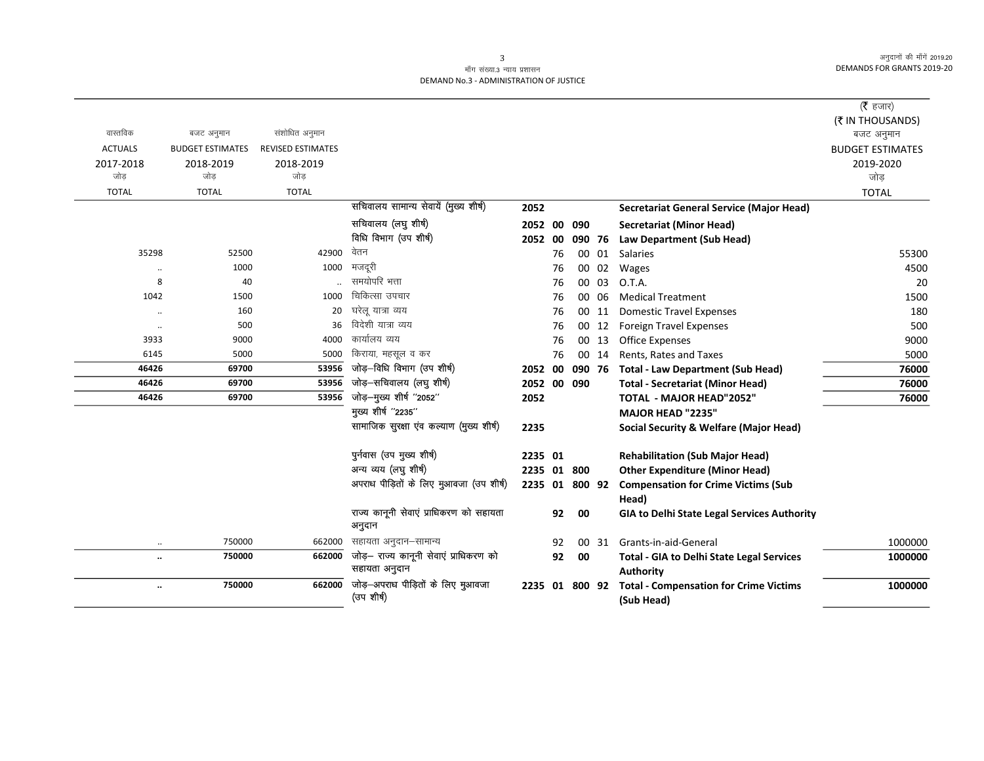## माँग संख्या.3 न्याय प्रशासन DEMAND No.3 - ADMINISTRATION OF JUSTICE

|                      |                         |                          |                                         |                |    |        |       |                                                    | (रै हजार)               |
|----------------------|-------------------------|--------------------------|-----------------------------------------|----------------|----|--------|-------|----------------------------------------------------|-------------------------|
|                      |                         |                          |                                         |                |    |        |       |                                                    | (₹ IN THOUSANDS)        |
| वास्तविक             | बजट अनुमान              | संशोधित अनुमान           |                                         |                |    |        |       |                                                    | बजट अनुमान              |
| <b>ACTUALS</b>       | <b>BUDGET ESTIMATES</b> | <b>REVISED ESTIMATES</b> |                                         |                |    |        |       |                                                    | <b>BUDGET ESTIMATES</b> |
| 2017-2018            | 2018-2019               | 2018-2019                |                                         |                |    |        |       |                                                    | 2019-2020               |
| जोड                  | जोड                     | जोड                      |                                         |                |    |        |       |                                                    | जोड                     |
| <b>TOTAL</b>         | <b>TOTAL</b>            | <b>TOTAL</b>             |                                         |                |    |        |       |                                                    | <b>TOTAL</b>            |
|                      |                         |                          | सचिवालय सामान्य सेवायें (मुख्य शीर्ष)   | 2052           |    |        |       | <b>Secretariat General Service (Major Head)</b>    |                         |
|                      |                         |                          | सचिवालय (लघु शीर्ष)                     | 2052 00        |    | 090    |       | <b>Secretariat (Minor Head)</b>                    |                         |
|                      |                         |                          | विधि विभाग (उप शीर्ष)                   | 2052 00        |    | 090 76 |       | Law Department (Sub Head)                          |                         |
| 35298                | 52500                   | 42900                    | वेतन                                    |                | 76 |        | 00 01 | <b>Salaries</b>                                    | 55300                   |
| $\ddotsc$            | 1000                    | 1000                     | मजदूरी                                  |                | 76 |        | 00 02 | Wages                                              | 4500                    |
| 8                    | 40                      |                          | समयोपरि भत्ता                           |                | 76 |        | 00 03 | O.T.A.                                             | 20                      |
| 1042                 | 1500                    | 1000                     | चिकित्सा उपचार                          |                | 76 |        | 00 06 | <b>Medical Treatment</b>                           | 1500                    |
| $\ddot{\phantom{a}}$ | 160                     | 20                       | घरेलू यात्रा व्यय                       |                | 76 |        | 00 11 | <b>Domestic Travel Expenses</b>                    | 180                     |
| $\ldots$             | 500                     | 36                       | विदेशी यात्रा व्यय                      |                | 76 |        | 00 12 | <b>Foreign Travel Expenses</b>                     | 500                     |
| 3933                 | 9000                    | 4000                     | कार्यालय व्यय                           |                | 76 |        | 00 13 | <b>Office Expenses</b>                             | 9000                    |
| 6145                 | 5000                    | 5000                     | किराया, महसूल व कर                      |                | 76 |        | 00 14 | Rents, Rates and Taxes                             | 5000                    |
| 46426                | 69700                   | 53956                    | जोड़-विधि विभाग (उप शीर्ष)              | 2052 00        |    | 090 76 |       | <b>Total - Law Department (Sub Head)</b>           | 76000                   |
| 46426                | 69700                   | 53956                    | जोड़-सचिवालय (लघु शीर्ष)                | 2052 00 090    |    |        |       | <b>Total - Secretariat (Minor Head)</b>            | 76000                   |
| 46426                | 69700                   | 53956                    | जोड़-मुख्य शीर्ष "2052"                 | 2052           |    |        |       | <b>TOTAL - MAJOR HEAD"2052"</b>                    | 76000                   |
|                      |                         |                          | मुख्य शीर्ष "2235"                      |                |    |        |       | <b>MAJOR HEAD "2235"</b>                           |                         |
|                      |                         |                          | सामाजिक सुरक्षा एव कल्याण (मुख्य शीर्ष) | 2235           |    |        |       | <b>Social Security &amp; Welfare (Major Head)</b>  |                         |
|                      |                         |                          | पुर्नवास (उप मुख्य शीर्ष)               | 2235 01        |    |        |       | <b>Rehabilitation (Sub Major Head)</b>             |                         |
|                      |                         |                          | अन्य व्यय (लघु शीर्ष)                   | 2235 01 800    |    |        |       | <b>Other Expenditure (Minor Head)</b>              |                         |
|                      |                         |                          | अपराध पीड़ितों के लिए मुआवजा (उप शीर्ष) | 2235 01 800 92 |    |        |       | <b>Compensation for Crime Victims (Sub</b>         |                         |
|                      |                         |                          |                                         |                |    |        |       | Head)                                              |                         |
|                      |                         |                          | राज्य कानूनी सेवाएं प्राधिकरण को सहायता |                | 92 | 00     |       | <b>GIA to Delhi State Legal Services Authority</b> |                         |
|                      |                         |                          | अनुदान                                  |                |    |        |       |                                                    |                         |
| $\cdot$ .            | 750000                  | 662000                   | सहायता अनुदान–सामान्य                   |                | 92 |        | 00 31 | Grants-in-aid-General                              | 1000000                 |
| $\ddot{\phantom{0}}$ | 750000                  | 662000                   | जोड़— राज्य कानूनी सेवाएं प्राधिकरण को  |                | 92 | 00     |       | <b>Total - GIA to Delhi State Legal Services</b>   | 1000000                 |
|                      |                         |                          | सहायता अनुदान                           |                |    |        |       | <b>Authority</b>                                   |                         |
| $\ddot{\phantom{0}}$ | 750000                  | 662000                   | जोड़-अपराध पीड़ितों के लिए मुआवजा       | 2235 01 800 92 |    |        |       | <b>Total - Compensation for Crime Victims</b>      | 1000000                 |
|                      |                         |                          | (उप शीर्ष)                              |                |    |        |       | (Sub Head)                                         |                         |

 $\overline{3}$